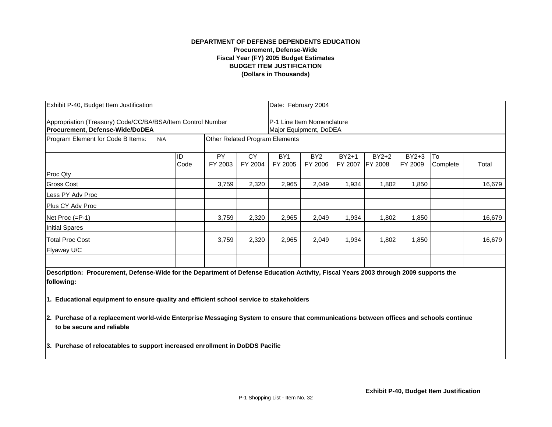## **(Dollars in Thousands) DEPARTMENT OF DEFENSE DEPENDENTS EDUCATION Procurement, Defense-Wide Fiscal Year (FY) 2005 Budget Estimates BUDGET ITEM JUSTIFICATION**

| Exhibit P-40, Budget Item Justification<br>Appropriation (Treasury) Code/CC/BA/BSA/Item Control Number<br><b>Procurement, Defense-Wide/DoDEA</b> |            |               |               |                            | Date: February 2004<br>P-1 Line Item Nomenclature<br>Major Equipment, DoDEA |                    |                           |                    |                |        |  |
|--------------------------------------------------------------------------------------------------------------------------------------------------|------------|---------------|---------------|----------------------------|-----------------------------------------------------------------------------|--------------------|---------------------------|--------------------|----------------|--------|--|
|                                                                                                                                                  |            |               |               |                            |                                                                             |                    |                           |                    |                |        |  |
|                                                                                                                                                  | ID<br>Code | PY<br>FY 2003 | CY<br>FY 2004 | BY <sub>1</sub><br>FY 2005 | BY <sub>2</sub><br>FY 2006                                                  | $BY2+1$<br>FY 2007 | $BY2+2$<br><b>FY 2008</b> | $BY2+3$<br>FY 2009 | To<br>Complete | Total  |  |
| Proc Qty                                                                                                                                         |            |               |               |                            |                                                                             |                    |                           |                    |                |        |  |
| <b>Gross Cost</b>                                                                                                                                |            | 3,759         | 2,320         | 2,965                      | 2,049                                                                       | 1,934              | 1,802                     | 1,850              |                | 16,679 |  |
| Less PY Adv Proc                                                                                                                                 |            |               |               |                            |                                                                             |                    |                           |                    |                |        |  |
| Plus CY Adv Proc                                                                                                                                 |            |               |               |                            |                                                                             |                    |                           |                    |                |        |  |
| Net Proc $(=P-1)$                                                                                                                                |            | 3,759         | 2,320         | 2,965                      | 2,049                                                                       | 1,934              | 1,802                     | 1,850              |                | 16,679 |  |
| Initial Spares                                                                                                                                   |            |               |               |                            |                                                                             |                    |                           |                    |                |        |  |
| <b>Total Proc Cost</b>                                                                                                                           |            | 3,759         | 2,320         | 2,965                      | 2,049                                                                       | 1,934              | 1,802                     | 1,850              |                | 16,679 |  |
| Flyaway U/C                                                                                                                                      |            |               |               |                            |                                                                             |                    |                           |                    |                |        |  |
|                                                                                                                                                  |            |               |               |                            |                                                                             |                    |                           |                    |                |        |  |

**Description: Procurement, Defense-Wide for the Department of Defense Education Activity, Fiscal Years 2003 through 2009 supports the following:**

**1. Educational equipment to ensure quality and efficient school service to stakeholders**

**2. Purchase of a replacement world-wide Enterprise Messaging System to ensure that communications between offices and schools continue to be secure and reliable**

**3. Purchase of relocatables to support increased enrollment in DoDDS Pacific**